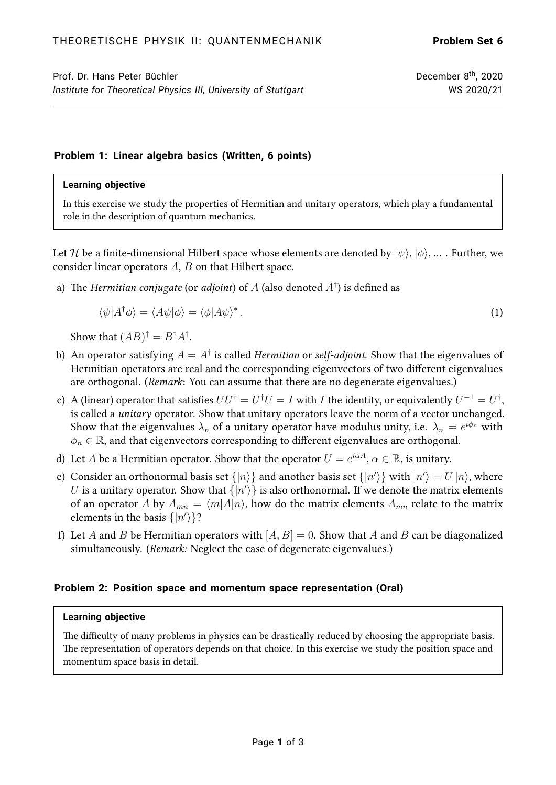# **Problem 1: Linear algebra basics (Written, 6 points)**

#### **Learning objective**

In this exercise we study the properties of Hermitian and unitary operators, which play a fundamental role in the description of quantum mechanics.

Let H be a finite-dimensional Hilbert space whose elements are denoted by  $|\psi\rangle, |\phi\rangle, ...$  Further, we consider linear operators  $A, B$  on that Hilbert space.

a) The Hermitian conjugate (or adjoint) of  $A$  (also denoted  $A^\dagger$ ) is defined as

$$
\langle \psi | A^{\dagger} \phi \rangle = \langle A \psi | \phi \rangle = \langle \phi | A \psi \rangle^* \,. \tag{1}
$$

Show that  $(AB)^{\dagger} = B^{\dagger}A^{\dagger}$ .

- b) An operator satisfying  $A=A^\dagger$  is called *Hermitian* or *self-adjoint*. Show that the eigenvalues of Hermitian operators are real and the corresponding eigenvectors of two different eigenvalues are orthogonal. (Remark: You can assume that there are no degenerate eigenvalues.)
- c) A (linear) operator that satisfies  $UU^\dagger = U^\dagger U = I$  with  $I$  the identity, or equivalently  $U^{-1} = U^\dagger,$ is called a unitary operator. Show that unitary operators leave the norm of a vector unchanged. Show that the eigenvalues  $\lambda_n$  of a unitary operator have modulus unity, i.e.  $\,\lambda_n = e^{i \phi_n}$  with  $\phi_n \in \mathbb{R}$ , and that eigenvectors corresponding to different eigenvalues are orthogonal.
- d) Let  $A$  be a Hermitian operator. Show that the operator  $U=e^{i\alpha A},$   $\alpha\in\mathbb{R},$  is unitary.
- e) Consider an orthonormal basis set  $\{|n\rangle\}$  and another basis set  $\{|n'\rangle\}$  with  $|n'\rangle = U\,|n\rangle$ , where  $U$  is a unitary operator. Show that  $\{\ket{n'}\}$  is also orthonormal. If we denote the matrix elements of an operator A by  $A_{mn} = \langle m|A|n\rangle$ , how do the matrix elements  $A_{mn}$  relate to the matrix elements in the basis  $\{|n'\rangle\}$ ?
- f) Let A and B be Hermitian operators with  $[A, B] = 0$ . Show that A and B can be diagonalized simultaneously. (Remark: Neglect the case of degenerate eigenvalues.)

## **Problem 2: Position space and momentum space representation (Oral)**

### **Learning objective**

The difficulty of many problems in physics can be drastically reduced by choosing the appropriate basis. The representation of operators depends on that choice. In this exercise we study the position space and momentum space basis in detail.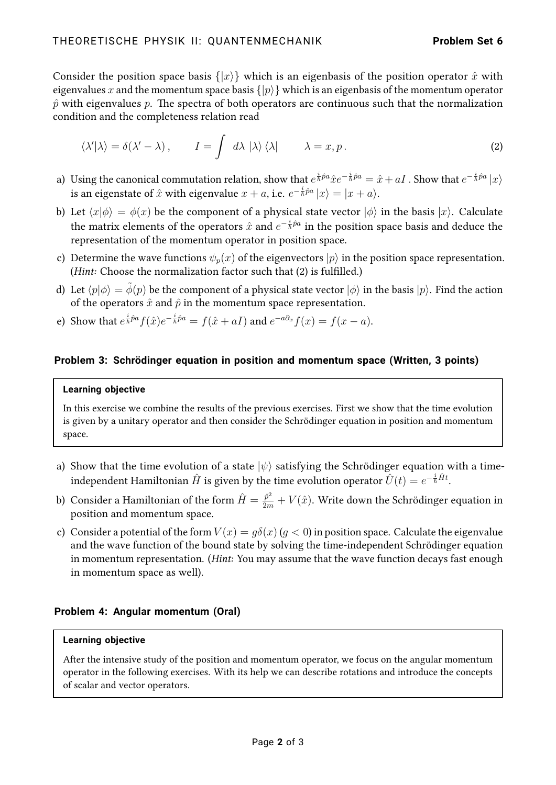Consider the position space basis  $\{|x\rangle\}$  which is an eigenbasis of the position operator  $\hat{x}$  with eigenvalues x and the momentum space basis  $\{|p\rangle\}$  which is an eigenbasis of the momentum operator  $\hat{p}$  with eigenvalues p. The spectra of both operators are continuous such that the normalization condition and the completeness relation read

<span id="page-1-0"></span>
$$
\langle \lambda' | \lambda \rangle = \delta(\lambda' - \lambda), \qquad I = \int d\lambda \, |\lambda\rangle \, \langle \lambda | \qquad \lambda = x, p. \tag{2}
$$

- a) Using the canonical commutation relation, show that  $e^{\frac{i}{\hbar}\hat{p}a}\hat{x}e^{-\frac{i}{\hbar}\hat{p}a}=\hat{x}+aI$  . Show that  $e^{-\frac{i}{\hbar}\hat{p}a}|x\rangle$ is an eigenstate of  $\hat{x}$  with eigenvalue  $x+a$ , i.e.  $e^{-\frac{i}{\hbar}\hat{p}a}\ket{x}=\ket{x+a}.$
- b) Let  $\langle x|\phi \rangle = \phi(x)$  be the component of a physical state vector  $|\phi \rangle$  in the basis  $|x\rangle$ . Calculate the matrix elements of the operators  $\hat{x}$  and  $e^{-\frac{i}{\hbar}\hat{p}a}$  in the position space basis and deduce the representation of the momentum operator in position space.
- c) Determine the wave functions  $\psi_p(x)$  of the eigenvectors  $|p\rangle$  in the position space representation. (*Hint*: Choose the normalization factor such that [\(2\)](#page-1-0) is fulfilled.)
- d) Let  $\langle p|\phi \rangle = \phi(p)$  be the component of a physical state vector  $|\phi \rangle$  in the basis  $|p\rangle$ . Find the action of the operators  $\hat{x}$  and  $\hat{p}$  in the momentum space representation.
- e) Show that  $e^{\frac{i}{\hbar}\hat{p}a}f(\hat{x})e^{-\frac{i}{\hbar}\hat{p}a}=f(\hat{x}+aI)$  and  $e^{-a\partial_x}f(x)=f(x-a)$ .

## **Problem 3: Schrödinger equation in position and momentum space (Written, 3 points)**

#### **Learning objective**

In this exercise we combine the results of the previous exercises. First we show that the time evolution is given by a unitary operator and then consider the Schrödinger equation in position and momentum space.

- a) Show that the time evolution of a state  $|\psi\rangle$  satisfying the Schrödinger equation with a timeindependent Hamiltonian  $\hat{H}$  is given by the time evolution operator  $\hat{U}(t)=e^{-\frac{i}{\hbar}\hat{H}t}.$
- b) Consider a Hamiltonian of the form  $\hat{H}=\frac{\hat{p}^2}{2m}+V(\hat{x}).$  Write down the Schrödinger equation in position and momentum space.
- c) Consider a potential of the form  $V(x) = q\delta(x)$  ( $q < 0$ ) in position space. Calculate the eigenvalue and the wave function of the bound state by solving the time-independent Schrödinger equation in momentum representation. (Hint: You may assume that the wave function decays fast enough in momentum space as well).

## **Problem 4: Angular momentum (Oral)**

### **Learning objective**

After the intensive study of the position and momentum operator, we focus on the angular momentum operator in the following exercises. With its help we can describe rotations and introduce the concepts of scalar and vector operators.